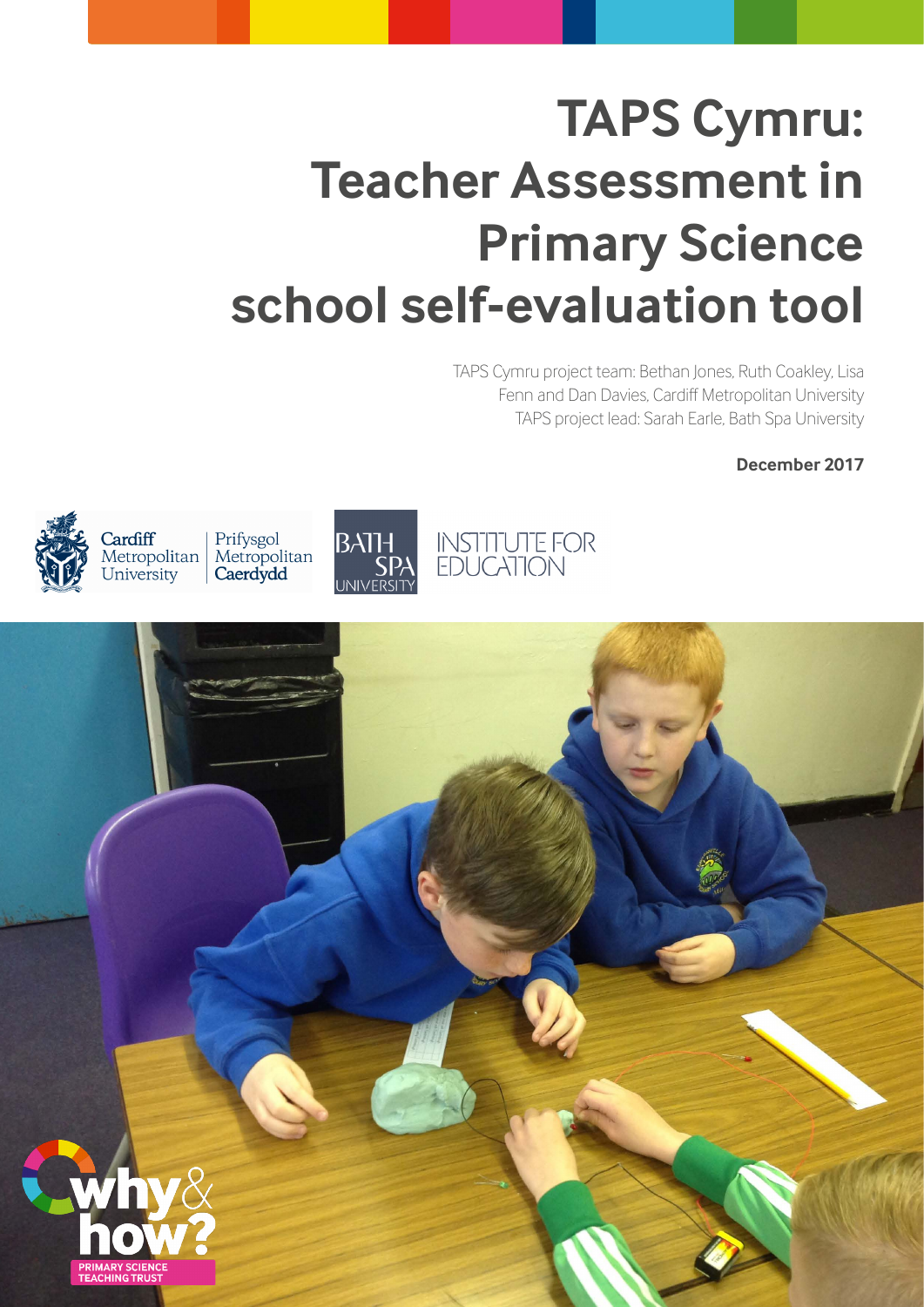# **TAPS Cymru: Teacher Assessment in Primary Science school self-evaluation tool**

INSTITUTE FOR<br>EDUCATION

 TAPS Cymru project team: Bethan Jones, Ruth Coakley, Lisa Fenn and Dan Davies, Cardiff Metropolitan University TAPS project lead: Sarah Earle, Bath Spa University

**December 2017**



Cardiff Prifysgol Metropolitan Metropolitan Caerdydd University



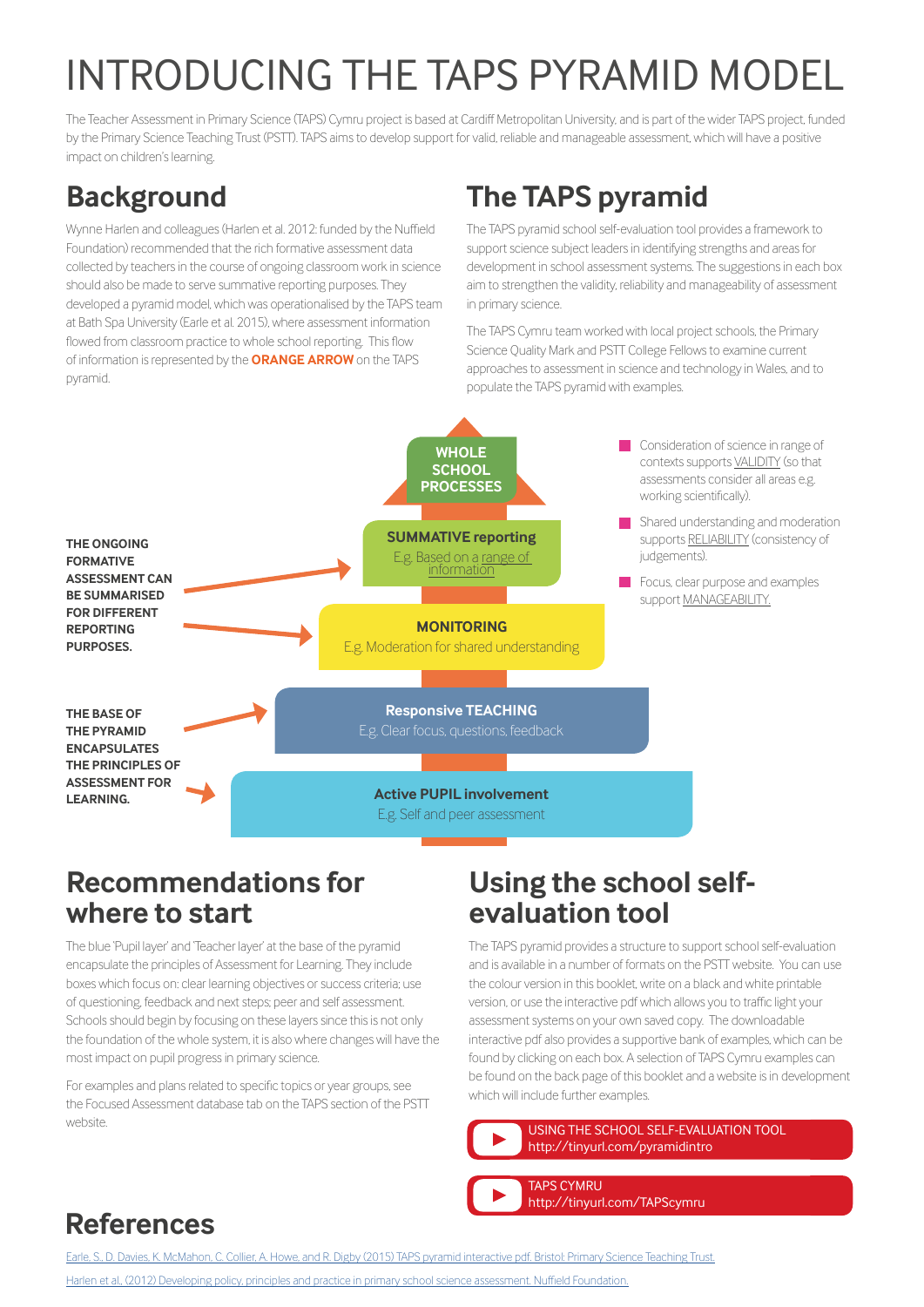# INTRODUCING THE TAPS PYRAMID MODEL

The Teacher Assessment in Primary Science (TAPS) Cymru project is based at Cardiff Metropolitan University, and is part of the wider TAPS project, funded by the Primary Science Teaching Trust (PSTT). TAPS aims to develop support for valid, reliable and manageable assessment, which will have a positive impact on children's learning.

## **Background**

Wynne Harlen and colleagues (Harlen et al. 2012: funded by the Nuffield Foundation) recommended that the rich formative assessment data collected by teachers in the course of ongoing classroom work in science should also be made to serve summative reporting purposes. They developed a pyramid model, which was operationalised by the TAPS team at Bath Spa University (Earle et al. 2015), where assessment information flowed from classroom practice to whole school reporting. This flow of information is represented by the **ORANGE ARROW** on the TAPS pyramid.

# **The TAPS pyramid**

The TAPS pyramid school self-evaluation tool provides a framework to support science subject leaders in identifying strengths and areas for development in school assessment systems. The suggestions in each box aim to strengthen the validity, reliability and manageability of assessment in primary science.

The TAPS Cymru team worked with local project schools, the Primary Science Quality Mark and PSTT College Fellows to examine current approaches to assessment in science and technology in Wales, and to populate the TAPS pyramid with examples.



### **Recommendations for where to start**

The blue 'Pupil layer' and 'Teacher layer' at the base of the pyramid encapsulate the principles of Assessment for Learning. They include boxes which focus on: clear learning objectives or success criteria; use of questioning, feedback and next steps; peer and self assessment. Schools should begin by focusing on these layers since this is not only the foundation of the whole system, it is also where changes will have the most impact on pupil progress in primary science.

For examples and plans related to specific topics or year groups, see the Focused Assessment database tab on the TAPS section of the PSTT website.

### **Using the school selfevaluation tool**

The TAPS pyramid provides a structure to support school self-evaluation and is available in a number of formats on the PSTT website. You can use the colour version in this booklet, write on a black and white printable version, or use the interactive pdf which allows you to traffic light your assessment systems on your own saved copy. The downloadable interactive pdf also provides a supportive bank of examples, which can be found by clicking on each box. A selection of TAPS Cymru examples can be found on the back page of this booklet and a website is in development which will include further examples.

USING THE SCHOOL SELF-EVALUATION TOOL <http://tinyurl.com/pyramidintro>

TAPS CYMRU <http://tinyurl.com/TAPScymru>

## **References**

[Earle, S., D. Davies, K. McMahon, C. Collier, A. Howe, and R. Digby \(2015\) TAPS pyramid interactive pdf. Bristol: Primary Science Teaching Trust.](https://pstt.org.uk/resources/curriculum-materials/assessment)

[Harlen et al., \(2012\) Developing policy, principles and practice in primary school science assessment. Nuffield Foundation.](http://www.nuffieldfoundation.org/sites/default/files/files/Developing_policy_principles_and_practice_in_primary_school_science_assessment_Nuffield_Foundation_v_FINAL.pdf)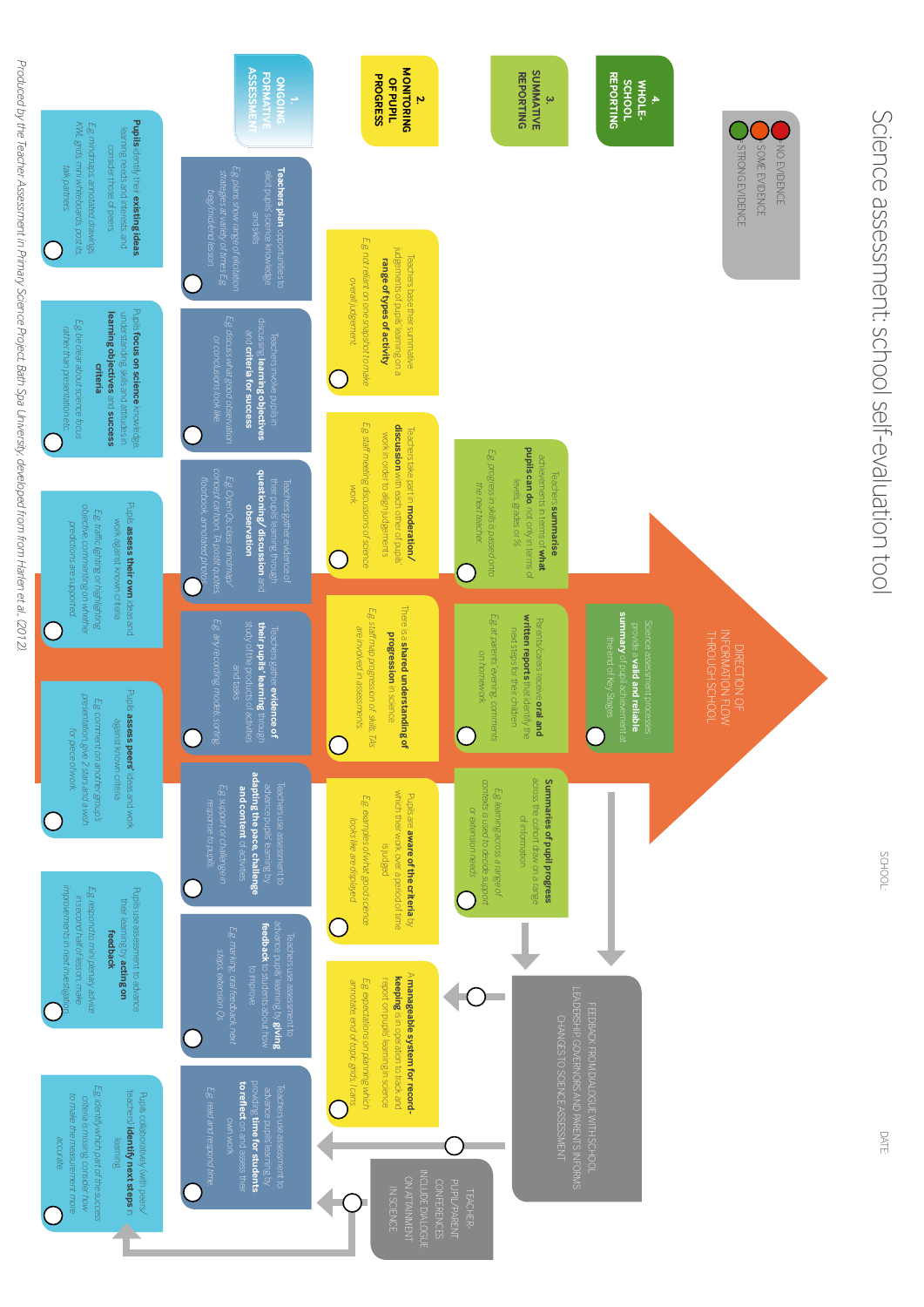